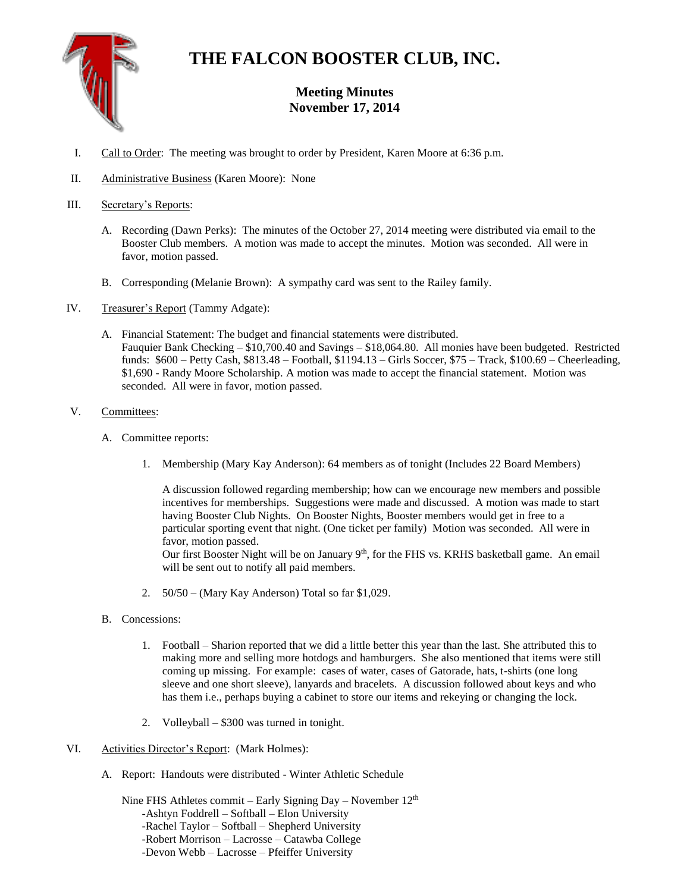

## **THE FALCON BOOSTER CLUB, INC.**

## **Meeting Minutes November 17, 2014**

- I. Call to Order: The meeting was brought to order by President, Karen Moore at 6:36 p.m.
- II. Administrative Business (Karen Moore): None
- III. Secretary's Reports:
	- A. Recording (Dawn Perks): The minutes of the October 27, 2014 meeting were distributed via email to the Booster Club members. A motion was made to accept the minutes. Motion was seconded. All were in favor, motion passed.
	- B. Corresponding (Melanie Brown): A sympathy card was sent to the Railey family.
- IV. Treasurer's Report (Tammy Adgate):
	- A. Financial Statement: The budget and financial statements were distributed. Fauquier Bank Checking – \$10,700.40 and Savings – \$18,064.80. All monies have been budgeted. Restricted funds: \$600 – Petty Cash, \$813.48 – Football, \$1194.13 – Girls Soccer, \$75 – Track, \$100.69 – Cheerleading, \$1,690 - Randy Moore Scholarship. A motion was made to accept the financial statement. Motion was seconded. All were in favor, motion passed.
- V. Committees:
	- A. Committee reports:
		- 1. Membership (Mary Kay Anderson): 64 members as of tonight (Includes 22 Board Members)

A discussion followed regarding membership; how can we encourage new members and possible incentives for memberships. Suggestions were made and discussed. A motion was made to start having Booster Club Nights. On Booster Nights, Booster members would get in free to a particular sporting event that night. (One ticket per family) Motion was seconded. All were in favor, motion passed.

Our first Booster Night will be on January  $9<sup>th</sup>$ , for the FHS vs. KRHS basketball game. An email will be sent out to notify all paid members.

- 2. 50/50 (Mary Kay Anderson) Total so far \$1,029.
- B. Concessions:
	- 1. Football Sharion reported that we did a little better this year than the last. She attributed this to making more and selling more hotdogs and hamburgers. She also mentioned that items were still coming up missing. For example: cases of water, cases of Gatorade, hats, t-shirts (one long sleeve and one short sleeve), lanyards and bracelets. A discussion followed about keys and who has them i.e., perhaps buying a cabinet to store our items and rekeying or changing the lock.
	- 2. Volleyball \$300 was turned in tonight.
- VI. Activities Director's Report: (Mark Holmes):
	- A. Report: Handouts were distributed Winter Athletic Schedule

Nine FHS Athletes commit – Early Signing Day – November 12<sup>th</sup> -Ashtyn Foddrell – Softball – Elon University -Rachel Taylor – Softball – Shepherd University -Robert Morrison – Lacrosse – Catawba College -Devon Webb – Lacrosse – Pfeiffer University